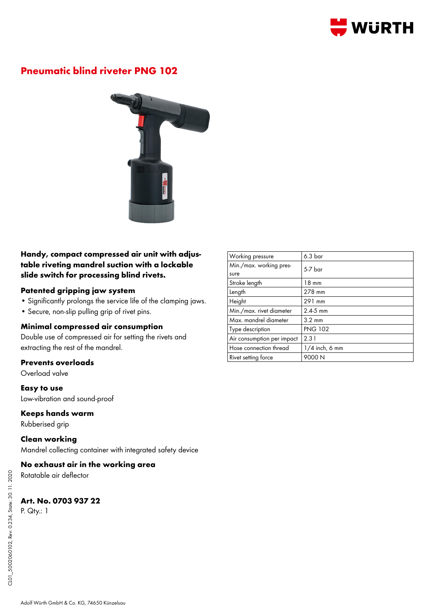

# **Pneumatic blind riveter PNG 102**



## **Handy, compact compressed air unit with adjustable riveting mandrel suction with a lockable slide switch for processing blind rivets.**

### **Patented gripping jaw system**

- Significantly prolongs the service life of the clamping jaws.
- Secure, non-slip pulling grip of rivet pins.

### **Minimal compressed air consumption**

Double use of compressed air for setting the rivets and extracting the rest of the mandrel.

#### **Prevents overloads**

Overload valve

**Easy to use** Low-vibration and sound-proof

#### **Keeps hands warm**

Rubberised grip

**Clean working** Mandrel collecting container with integrated safety device

**No exhaust air in the working area**

Rotatable air deflector

## **Art. No. 0703 937 22**

P. Qty.: 1

| Working pressure                | 6.3 <sub>bar</sub> |
|---------------------------------|--------------------|
| Min./max. working pres-<br>sure | $5-7$ har          |
| Stroke length                   | $18 \text{ mm}$    |
| Length                          | 278 mm             |
| Height                          | 291 mm             |
| Min./max. rivet diameter        | $2.4 - 5$ mm       |
| Max. mandrel diameter           | $3.2 \text{ mm}$   |
| Type description                | <b>PNG 102</b>     |
| Air consumption per impact      | 2.31               |
| Hose connection thread          | $1/4$ inch, 6 mm   |
| Rivet setting force             | 9000 N             |